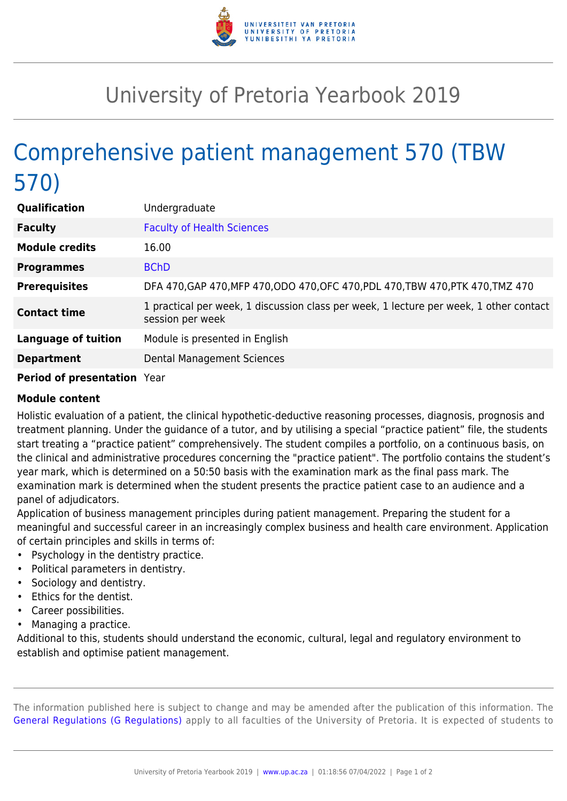

## University of Pretoria Yearbook 2019

## Comprehensive patient management 570 (TBW 570)

| <b>Qualification</b>       | Undergraduate                                                                                              |
|----------------------------|------------------------------------------------------------------------------------------------------------|
| <b>Faculty</b>             | <b>Faculty of Health Sciences</b>                                                                          |
| <b>Module credits</b>      | 16.00                                                                                                      |
| <b>Programmes</b>          | <b>BChD</b>                                                                                                |
| <b>Prerequisites</b>       | DFA 470, GAP 470, MFP 470, ODO 470, OFC 470, PDL 470, TBW 470, PTK 470, TMZ 470                            |
| <b>Contact time</b>        | 1 practical per week, 1 discussion class per week, 1 lecture per week, 1 other contact<br>session per week |
| <b>Language of tuition</b> | Module is presented in English                                                                             |
| <b>Department</b>          | Dental Management Sciences                                                                                 |
|                            |                                                                                                            |

## **Period of presentation** Year

## **Module content**

Holistic evaluation of a patient, the clinical hypothetic-deductive reasoning processes, diagnosis, prognosis and treatment planning. Under the guidance of a tutor, and by utilising a special "practice patient" file, the students start treating a "practice patient" comprehensively. The student compiles a portfolio, on a continuous basis, on the clinical and administrative procedures concerning the "practice patient". The portfolio contains the student's year mark, which is determined on a 50:50 basis with the examination mark as the final pass mark. The examination mark is determined when the student presents the practice patient case to an audience and a panel of adjudicators.

Application of business management principles during patient management. Preparing the student for a meaningful and successful career in an increasingly complex business and health care environment. Application of certain principles and skills in terms of:

- Psychology in the dentistry practice.
- Political parameters in dentistry.
- Sociology and dentistry.
- Ethics for the dentist.
- Career possibilities.
- Managing a practice.

Additional to this, students should understand the economic, cultural, legal and regulatory environment to establish and optimise patient management.

The information published here is subject to change and may be amended after the publication of this information. The [General Regulations \(G Regulations\)](https://www.up.ac.za/faculty-of-education/yearbooks/2019/rules/view/REG) apply to all faculties of the University of Pretoria. It is expected of students to